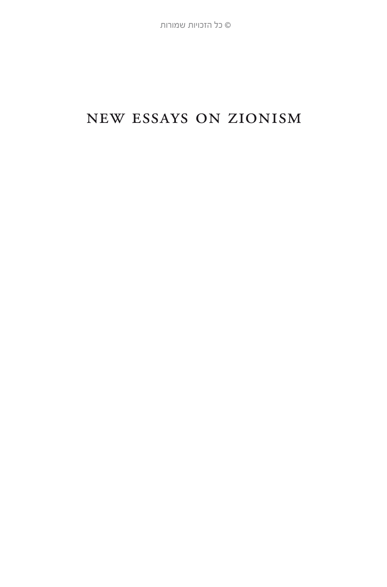## new essays on zionism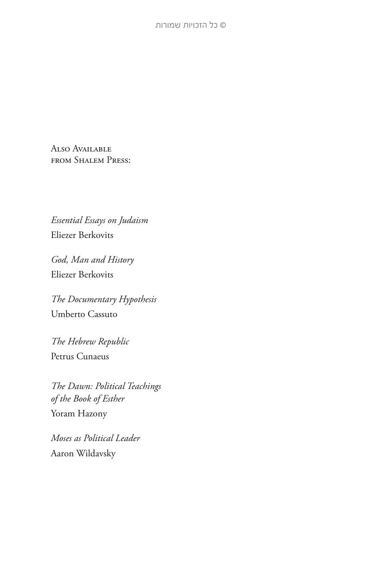ALSO AVAILABLE from Shalem Press:

*Essential Essays on Judaism* Eliezer Berkovits

*God, Man and History* Eliezer Berkovits

*The Documentary Hypothesis* Umberto Cassuto

*The Hebrew Republic* Petrus Cunaeus

*The Dawn: Political Teachings of the Book of Esther* Yoram Hazony

*Moses as Political Leader* Aaron Wildavsky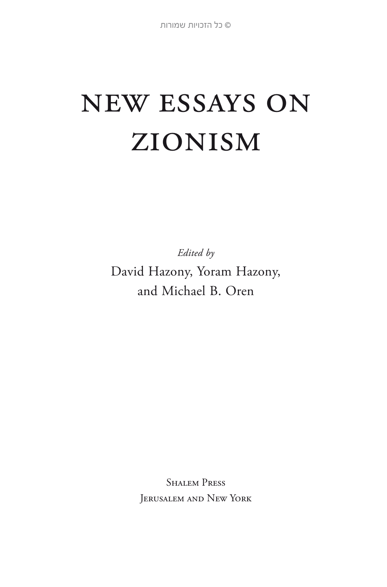# new essays on zionism

*Edited by* 

David Hazony, Yoram Hazony, and Michael B. Oren

> **SHALEM PRESS** Jerusalem and New York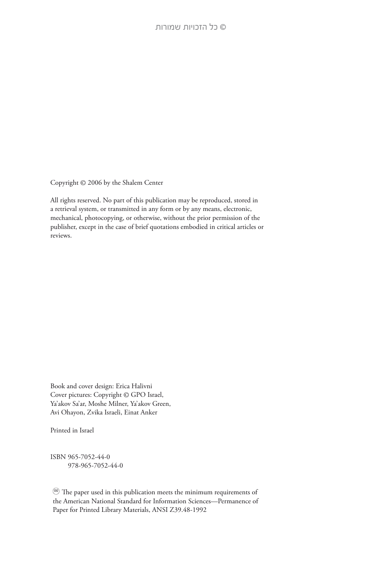Copyright © 2006 by the Shalem Center

All rights reserved. No part of this publication may be reproduced, stored in a retrieval system, or transmitted in any form or by any means, electronic, mechanical, photocopying, or otherwise, without the prior permission of the publisher, except in the case of brief quotations embodied in critical articles or reviews.

Book and cover design: Erica Halivni Cover pictures: Copyright © GPO Israel, Ya'akov Sa'ar, Moshe Milner, Ya'akov Green, Avi Ohayon, Zvika Israeli, Einat Anker

Printed in Israel

ISBN 965-7052-44-0 978-965-7052-44-0

∞ The paper used in this publication meets the minimum requirements of the American National Standard for Information Sciences—Permanence of Paper for Printed Library Materials, ANSI Z39.48-1992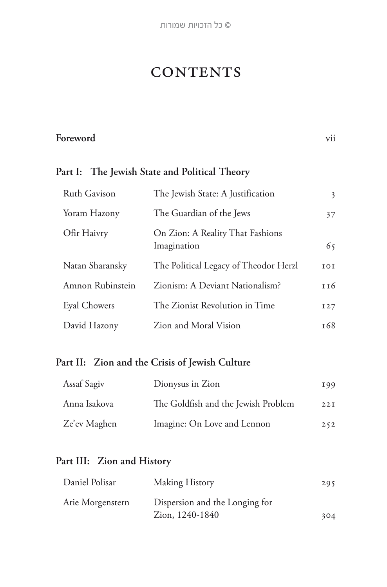**©** כל הזכויות שמורות

## **CONTENTS**

#### **Foreword** vii

#### **Part I: The Jewish State and Political Theory**

| Ruth Gavison     | The Jewish State: A Justification               | 3               |
|------------------|-------------------------------------------------|-----------------|
| Yoram Hazony     | The Guardian of the Jews                        | 37              |
| Ofir Haivry      | On Zion: A Reality That Fashions<br>Imagination | 65              |
| Natan Sharansky  | The Political Legacy of Theodor Herzl           | 101             |
| Amnon Rubinstein | Zionism: A Deviant Nationalism?                 | 116             |
| Eyal Chowers     | The Zionist Revolution in Time                  | I27             |
| David Hazony     | Zion and Moral Vision                           | T <sub>68</sub> |

#### **Part II: Zion and the Crisis of Jewish Culture**

| Assaf Sagiv  | Dionysus in Zion                    | 199 |
|--------------|-------------------------------------|-----|
| Anna Isakova | The Goldfish and the Jewish Problem | 22I |
| Ze'ev Maghen | Imagine: On Love and Lennon         | 252 |

### **Part III: Zion and History**

| Daniel Polisar   | Making History                 | 295 |
|------------------|--------------------------------|-----|
| Arie Morgenstern | Dispersion and the Longing for |     |
|                  | Zion, 1240-1840                | 304 |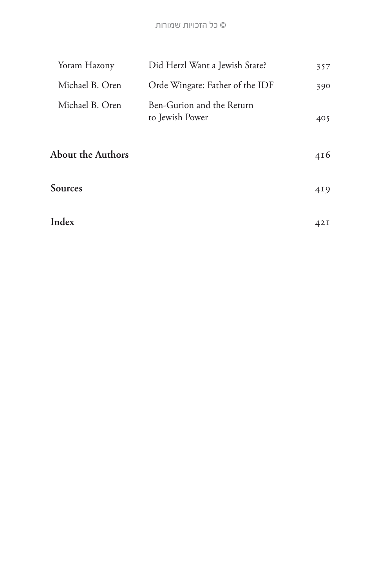#### **©** כל הזכויות שמורות

| Yoram Hazony             | Did Herzl Want a Jewish State?               | 357 |
|--------------------------|----------------------------------------------|-----|
| Michael B. Oren          | Orde Wingate: Father of the IDF              | 390 |
| Michael B. Oren          | Ben-Gurion and the Return<br>to Jewish Power | 405 |
| <b>About the Authors</b> |                                              | 416 |
| Sources                  |                                              | 419 |
| Index                    |                                              | 42I |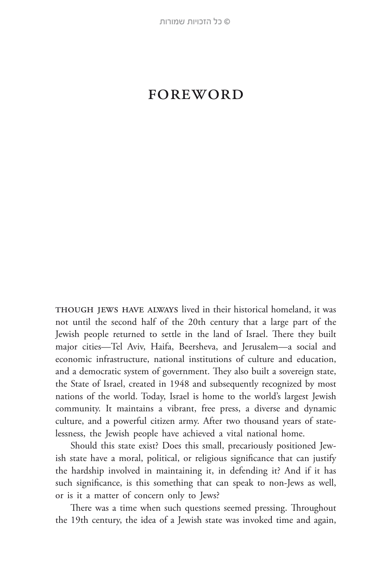## **FOREWORD**

THOUGH JEWS HAVE ALWAYS lived in their historical homeland, it was not until the second half of the 20th century that a large part of the Jewish people returned to settle in the land of Israel. There they built major cities—Tel Aviv, Haifa, Beersheva, and Jerusalem—a social and economic infrastructure, national institutions of culture and education, and a democratic system of government. They also built a sovereign state, the State of Israel, created in 1948 and subsequently recognized by most nations of the world. Today, Israel is home to the world's largest Jewish community. It maintains a vibrant, free press, a diverse and dynamic culture, and a powerful citizen army. After two thousand years of statelessness, the Jewish people have achieved a vital national home.

Should this state exist? Does this small, precariously positioned Jewish state have a moral, political, or religious significance that can justify the hardship involved in maintaining it, in defending it? And if it has such significance, is this something that can speak to non-Jews as well, or is it a matter of concern only to Jews?

There was a time when such questions seemed pressing. Throughout the 19th century, the idea of a Jewish state was invoked time and again,